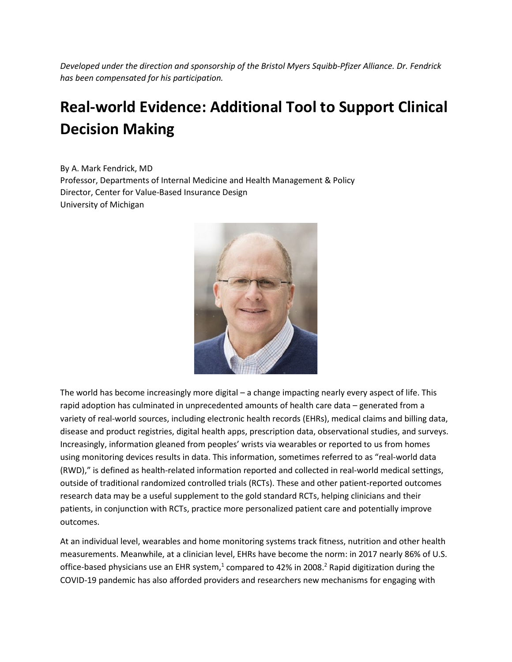*Developed under the direction and sponsorship of the Bristol Myers Squibb-Pfizer Alliance. Dr. Fendrick has been compensated for his participation.*

## **Real-world Evidence: Additional Tool to Support Clinical Decision Making**

By A. Mark Fendrick, MD Professor, Departments of Internal Medicine and Health Management & Policy Director, Center for Value-Based Insurance Design University of Michigan



The world has become increasingly more digital – a change impacting nearly every aspect of life. This rapid adoption has culminated in unprecedented amounts of health care data – generated from a variety of real-world sources, including electronic health records (EHRs), medical claims and billing data, disease and product registries, digital health apps, prescription data, observational studies, and surveys. Increasingly, information gleaned from peoples' wrists via wearables or reported to us from homes using monitoring devices results in data. This information, sometimes referred to as "real-world data (RWD)," is defined as health-related information reported and collected in real-world medical settings, outside of traditional randomized controlled trials (RCTs). These and other patient-reported outcomes research data may be a useful supplement to the gold standard RCTs, helping clinicians and their patients, in conjunction with RCTs, practice more personalized patient care and potentially improve outcomes.

At an individual level, wearables and home monitoring systems track fitness, nutrition and other health measurements. Meanwhile, at a clinician level, EHRs have become the norm: in 2017 nearly 86% of U.S. office-based physicians use an EHR system, $1$  compared to 42% in 2008.<sup>2</sup> Rapid digitization during the COVID-19 pandemic has also afforded providers and researchers new mechanisms for engaging with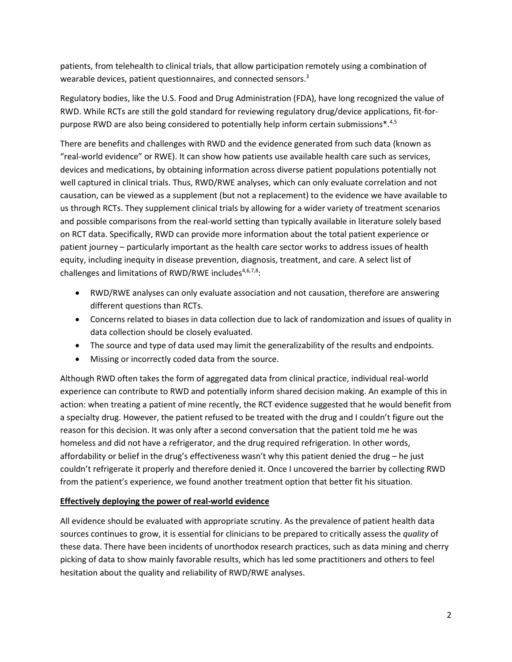patients, from telehealth to clinical trials, that allow participation remotely using a combination of wearable devices, patient questionnaires, and connected sensors.<sup>3</sup>

Regulatory bodies, like the U.S. Food and Drug Administration (FDA), have long recognized the value of RWD. While RCTs are still the gold standard for reviewing regulatory drug/device applications, fit-forpurpose RWD are also being considered to potentially help inform certain submissions $*$ .<sup>4,5</sup>

There are benefits and challenges with RWD and the evidence generated from such data (known as "real-world evidence" or RWE). It can show how patients use available health care such as services, devices and medications, by obtaining information across diverse patient populations potentially not well captured in clinical trials. Thus, RWD/RWE analyses, which can only evaluate correlation and not causation, can be viewed as a supplement (but not a replacement) to the evidence we have available to us through RCTs. They supplement clinical trials by allowing for a wider variety of treatment scenarios and possible comparisons from the real-world setting than typically available in literature solely based on RCT data. Specifically, RWD can provide more information about the total patient experience or patient journey – particularly important as the health care sector works to address issues of health equity, including inequity in disease prevention, diagnosis, treatment, and care. A select list of challenges and limitations of RWD/RWE includes $4,6,7,8$ :

- RWD/RWE analyses can only evaluate association and not causation, therefore are answering different questions than RCTs.
- Concerns related to biases in data collection due to lack of randomization and issues of quality in data collection should be closely evaluated.
- The source and type of data used may limit the generalizability of the results and endpoints.
- Missing or incorrectly coded data from the source.

Although RWD often takes the form of aggregated data from clinical practice, individual real-world experience can contribute to RWD and potentially inform shared decision making. An example of this in action: when treating a patient of mine recently, the RCT evidence suggested that he would benefit from a specialty drug. However, the patient refused to be treated with the drug and I couldn't figure out the reason for this decision. It was only after a second conversation that the patient told me he was homeless and did not have a refrigerator, and the drug required refrigeration. In other words, affordability or belief in the drug's effectiveness wasn't why this patient denied the drug – he just couldn't refrigerate it properly and therefore denied it. Once I uncovered the barrier by collecting RWD from the patient's experience, we found another treatment option that better fit his situation.

## **Effectively deploying the power of real-world evidence**

All evidence should be evaluated with appropriate scrutiny. As the prevalence of patient health data sources continues to grow, it is essential for clinicians to be prepared to critically assess the *quality* of these data. There have been incidents of unorthodox research practices, such as data mining and cherry picking of data to show mainly favorable results, which has led some practitioners and others to feel hesitation about the quality and reliability of RWD/RWE analyses.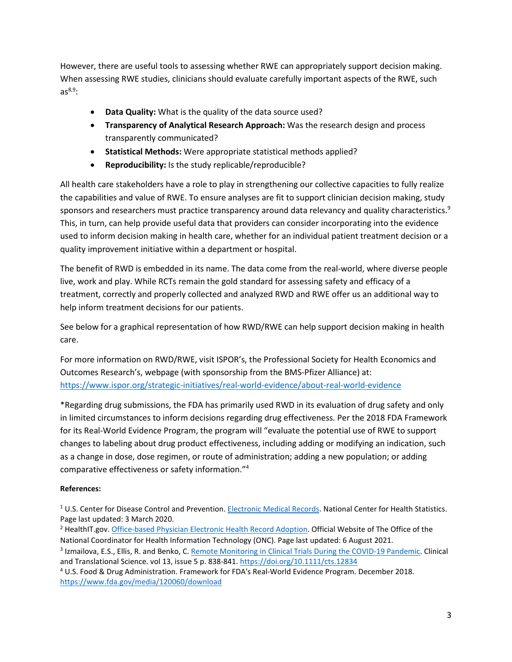However, there are useful tools to assessing whether RWE can appropriately support decision making. When assessing RWE studies, clinicians should evaluate carefully important aspects of the RWE, such  $as<sup>8,9</sup>$ :

- **Data Quality:** What is the quality of the data source used?
- **Transparency of Analytical Research Approach:** Was the research design and process transparently communicated?
- **Statistical Methods:** Were appropriate statistical methods applied?
- **Reproducibility:** Is the study replicable/reproducible?

All health care stakeholders have a role to play in strengthening our collective capacities to fully realize the capabilities and value of RWE. To ensure analyses are fit to support clinician decision making, study sponsors and researchers must practice transparency around data relevancy and quality characteristics.<sup>9</sup> This, in turn, can help provide useful data that providers can consider incorporating into the evidence used to inform decision making in health care, whether for an individual patient treatment decision or a quality improvement initiative within a department or hospital.

The benefit of RWD is embedded in its name. The data come from the real-world, where diverse people live, work and play. While RCTs remain the gold standard for assessing safety and efficacy of a treatment, correctly and properly collected and analyzed RWD and RWE offer us an additional way to help inform treatment decisions for our patients.

See below for a graphical representation of how RWD/RWE can help support decision making in health care.

For more information on RWD/RWE, visit ISPOR's, the Professional Society for Health Economics and Outcomes Research's, webpage (with sponsorship from the BMS-Pfizer Alliance) at: <https://www.ispor.org/strategic-initiatives/real-world-evidence/about-real-world-evidence>

\*Regarding drug submissions, the FDA has primarily used RWD in its evaluation of drug safety and only in limited circumstances to inform decisions regarding drug effectiveness. Per the 2018 FDA Framework for its Real-World Evidence Program, the program will "evaluate the potential use of RWE to support changes to labeling about drug product effectiveness, including adding or modifying an indication, such as a change in dose, dose regimen, or route of administration; adding a new population; or adding comparative effectiveness or safety information."4

## **References:**

<sup>1</sup> U.S. Center for Disease Control and Prevention. [Electronic Medical Records.](https://www.cdc.gov/nchs/fastats/electronic-medical-records.htm) National Center for Health Statistics. Page last updated: 3 March 2020.

<sup>2</sup> HealthIT.gov[. Office-based Physician Electronic Health Record Adoption.](https://www.healthit.gov/data/quickstats/office-based-physician-electronic-health-record-adoption) Official Website of The Office of the National Coordinator for Health Information Technology (ONC). Page last updated: 6 August 2021.

<sup>3</sup> Izmailova, E.S., Ellis, R. and Benko, C[. Remote Monitoring in Clinical Trials During the COVID-19 Pandemic.](https://ascpt.onlinelibrary.wiley.com/doi/10.1111/cts.12834) Clinical and Translational Science. vol 13, issue 5 p. 838-841.<https://doi.org/10.1111/cts.12834>

<sup>4</sup> U.S. Food & Drug Administration. Framework for FDA's Real-World Evidence Program. December 2018. <https://www.fda.gov/media/120060/download>